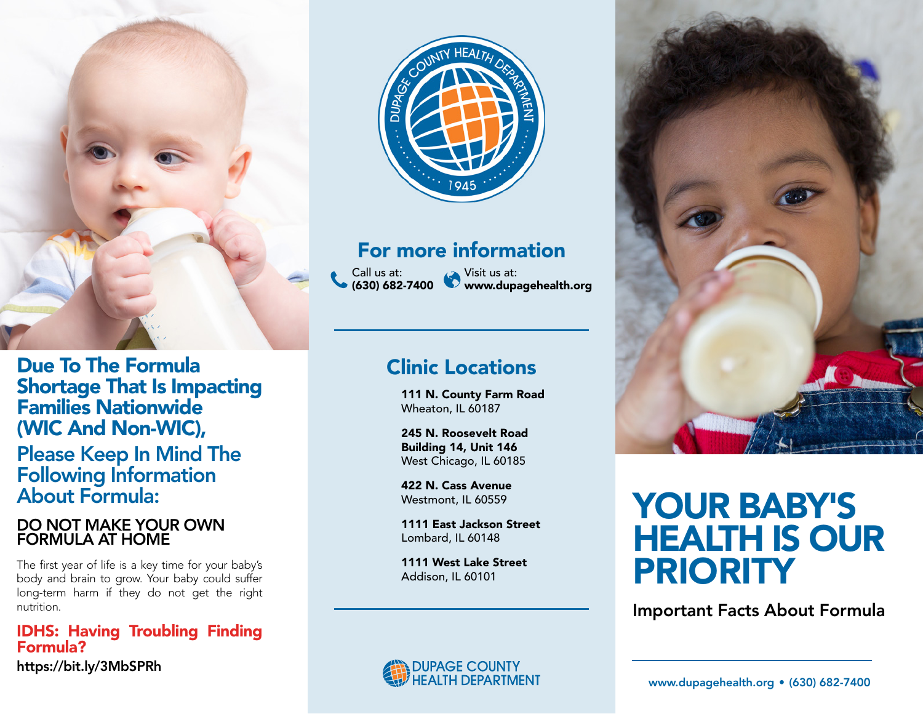

Due To The Formula Shortage That Is Impacting Families Nationwide (WIC And Non-WIC), Please Keep In Mind The Following Information About Formula:

#### DO NOT MAKE YOUR OWN FORMULA AT HOME

The first year of life is a key time for your baby's body and brain to grow. Your baby could suffer long-term harm if they do not get the right nutrition.

IDHS: Having Troubling Finding Formula? https://bit.ly/3MbSPRh



### For more information

Call us at: (630) 682-7400 Visit us at: www.dupagehealth.org

## Clinic Locations

111 N. County Farm Road Wheaton, IL 60187

245 N. Roosevelt Road Building 14, Unit 146 West Chicago, IL 60185

422 N. Cass Avenue Westmont, IL 60559

1111 East Jackson Street Lombard, IL 60148

1111 West Lake Street Addison, IL 60101



# YOUR BABY'S HEALTH IS OUR PRIORITY

Important Facts About Formula